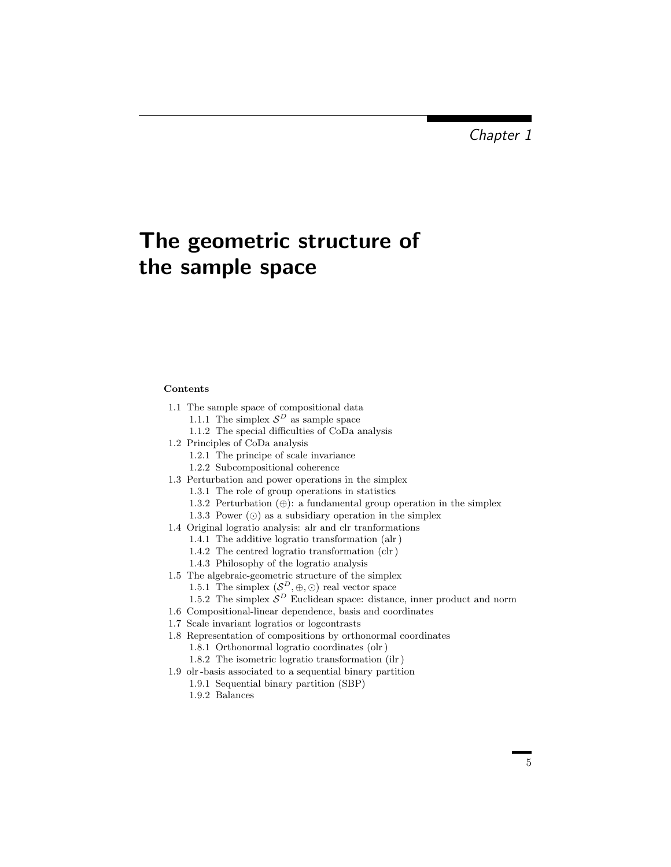## The geometric structure of the sample space

## Contents

- 1.1 The sample space of compositional data
	- 1.1.1 The simplex  $S^D$  as sample space
	- 1.1.2 The special difficulties of CoDa analysis
- 1.2 Principles of CoDa analysis
	- 1.2.1 The principe of scale invariance
	- 1.2.2 Subcompositional coherence
- 1.3 Perturbation and power operations in the simplex
	- 1.3.1 The role of group operations in statistics
	- 1.3.2 Perturbation  $(\oplus)$ : a fundamental group operation in the simplex
	- 1.3.3 Power  $\circled{\circ}$  as a subsidiary operation in the simplex
- 1.4 Original logratio analysis: alr and clr tranformations
	- 1.4.1 The additive logratio transformation (alr )
	- 1.4.2 The centred logratio transformation (clr )
	- 1.4.3 Philosophy of the logratio analysis
- 1.5 The algebraic-geometric structure of the simplex 1.5.1 The simplex  $(S^D, \oplus, \odot)$  real vector space
	- 1.5.2 The simplex  $\mathcal{S}^D$  Euclidean space: distance, inner product and norm
- 1.6 Compositional-linear dependence, basis and coordinates
- 1.7 Scale invariant logratios or logcontrasts
- 1.8 Representation of compositions by orthonormal coordinates
	- 1.8.1 Orthonormal logratio coordinates (olr )
	- 1.8.2 The isometric logratio transformation (ilr )
- 1.9 olr -basis associated to a sequential binary partition
	- 1.9.1 Sequential binary partition (SBP)
	- 1.9.2 Balances